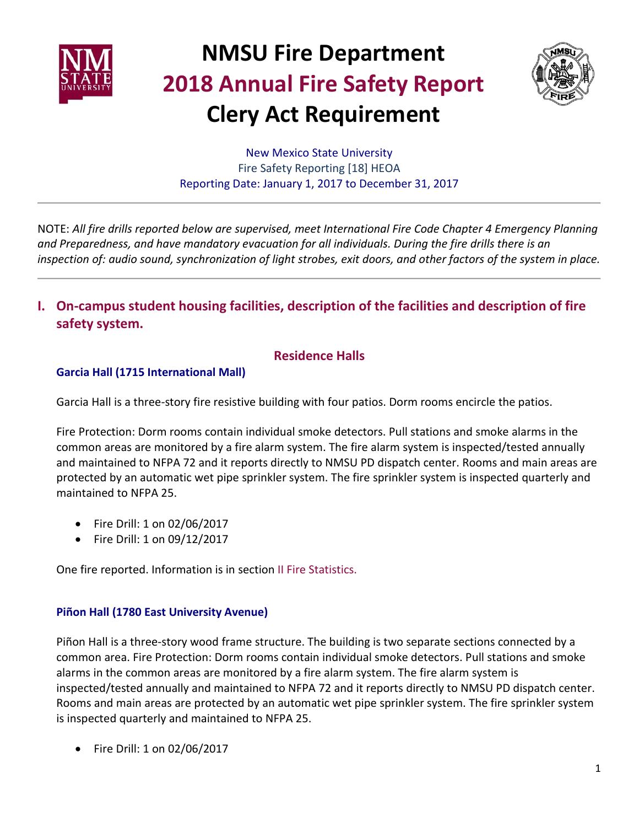



New Mexico State University Fire Safety Reporting [18] HEOA Reporting Date: January 1, 2017 to December 31, 2017

NOTE: *All fire drills reported below are supervised, meet International Fire Code Chapter 4 Emergency Planning and Preparedness, and have mandatory evacuation for all individuals. During the fire drills there is an inspection of: audio sound, synchronization of light strobes, exit doors, and other factors of the system in place.*

**I. On-campus student housing facilities, description of the facilities and description of fire safety system.**

## **Residence Halls**

#### **Garcia Hall (1715 International Mall)**

Garcia Hall is a three-story fire resistive building with four patios. Dorm rooms encircle the patios.

Fire Protection: Dorm rooms contain individual smoke detectors. Pull stations and smoke alarms in the common areas are monitored by a fire alarm system. The fire alarm system is inspected/tested annually and maintained to NFPA 72 and it reports directly to NMSU PD dispatch center. Rooms and main areas are protected by an automatic wet pipe sprinkler system. The fire sprinkler system is inspected quarterly and maintained to NFPA 25.

- Fire Drill: 1 on 02/06/2017
- Fire Drill: 1 on 09/12/2017

One fire reported. Information is in section II Fire Statistics.

#### **Piñon Hall (1780 East University Avenue)**

Piñon Hall is a three-story wood frame structure. The building is two separate sections connected by a common area. Fire Protection: Dorm rooms contain individual smoke detectors. Pull stations and smoke alarms in the common areas are monitored by a fire alarm system. The fire alarm system is inspected/tested annually and maintained to NFPA 72 and it reports directly to NMSU PD dispatch center. Rooms and main areas are protected by an automatic wet pipe sprinkler system. The fire sprinkler system is inspected quarterly and maintained to NFPA 25.

• Fire Drill: 1 on 02/06/2017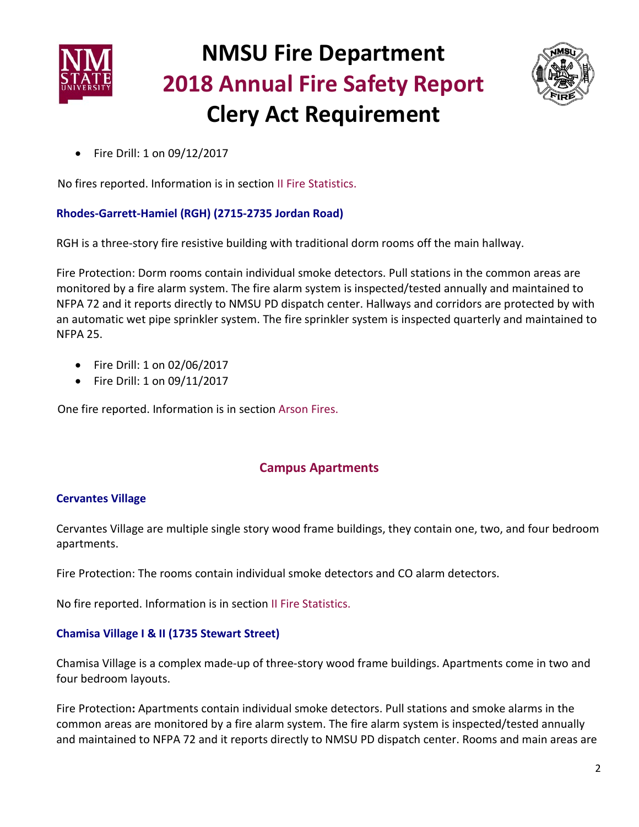



• Fire Drill: 1 on 09/12/2017

No fires reported. Information is in section II Fire Statistics.

### **Rhodes-Garrett-Hamiel (RGH) (2715-2735 Jordan Road)**

RGH is a three-story fire resistive building with traditional dorm rooms off the main hallway.

Fire Protection: Dorm rooms contain individual smoke detectors. Pull stations in the common areas are monitored by a fire alarm system. The fire alarm system is inspected/tested annually and maintained to NFPA 72 and it reports directly to NMSU PD dispatch center. Hallways and corridors are protected by with an automatic wet pipe sprinkler system. The fire sprinkler system is inspected quarterly and maintained to NFPA 25.

- Fire Drill: 1 on 02/06/2017
- Fire Drill: 1 on 09/11/2017

One fire reported. Information is in section Arson Fires.

# **Campus Apartments**

### **Cervantes Village**

Cervantes Village are multiple single story wood frame buildings, they contain one, two, and four bedroom apartments.

Fire Protection: The rooms contain individual smoke detectors and CO alarm detectors.

No fire reported. Information is in section II Fire Statistics.

### **Chamisa Village I & II (1735 Stewart Street)**

Chamisa Village is a complex made-up of three-story wood frame buildings. Apartments come in two and four bedroom layouts.

Fire Protection**:** Apartments contain individual smoke detectors. Pull stations and smoke alarms in the common areas are monitored by a fire alarm system. The fire alarm system is inspected/tested annually and maintained to NFPA 72 and it reports directly to NMSU PD dispatch center. Rooms and main areas are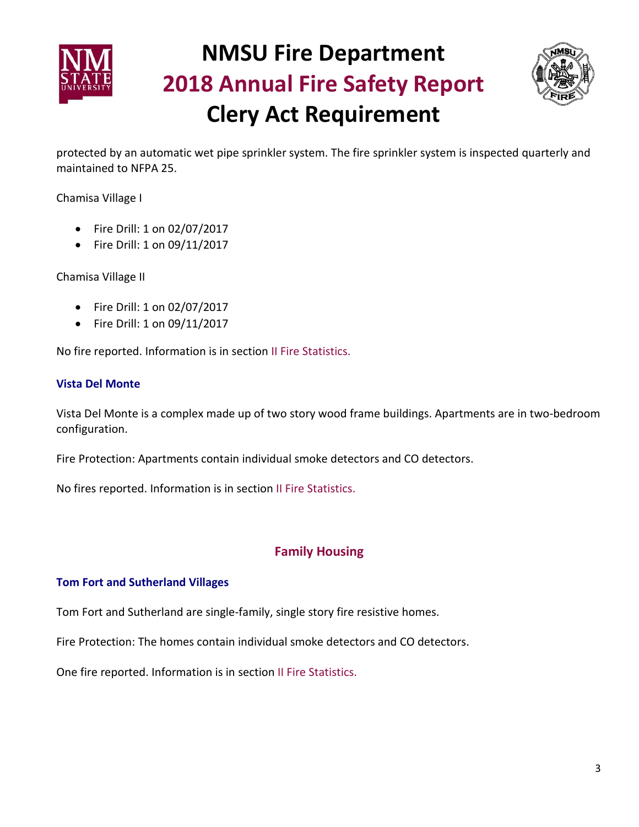



protected by an automatic wet pipe sprinkler system. The fire sprinkler system is inspected quarterly and maintained to NFPA 25.

Chamisa Village I

- Fire Drill: 1 on 02/07/2017
- Fire Drill: 1 on 09/11/2017

Chamisa Village II

- Fire Drill: 1 on 02/07/2017
- Fire Drill: 1 on 09/11/2017

No fire reported. Information is in section II Fire Statistics.

#### **Vista Del Monte**

Vista Del Monte is a complex made up of two story wood frame buildings. Apartments are in two-bedroom configuration.

Fire Protection: Apartments contain individual smoke detectors and CO detectors.

No fires reported. Information is in section II Fire Statistics.

### **Family Housing**

#### **Tom Fort and Sutherland Villages**

Tom Fort and Sutherland are single-family, single story fire resistive homes.

Fire Protection: The homes contain individual smoke detectors and CO detectors.

One fire reported. Information is in section II Fire Statistics.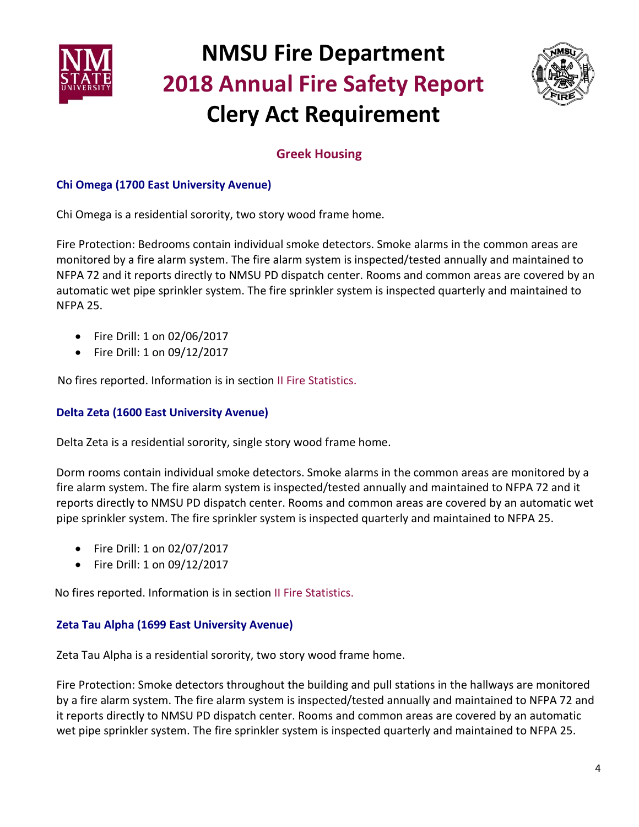



# **Greek Housing**

### **Chi Omega (1700 East University Avenue)**

Chi Omega is a residential sorority, two story wood frame home.

Fire Protection: Bedrooms contain individual smoke detectors. Smoke alarms in the common areas are monitored by a fire alarm system. The fire alarm system is inspected/tested annually and maintained to NFPA 72 and it reports directly to NMSU PD dispatch center. Rooms and common areas are covered by an automatic wet pipe sprinkler system. The fire sprinkler system is inspected quarterly and maintained to NFPA 25.

- Fire Drill: 1 on 02/06/2017
- Fire Drill: 1 on 09/12/2017

No fires reported. Information is in section II Fire Statistics.

#### **Delta Zeta (1600 East University Avenue)**

Delta Zeta is a residential sorority, single story wood frame home.

Dorm rooms contain individual smoke detectors. Smoke alarms in the common areas are monitored by a fire alarm system. The fire alarm system is inspected/tested annually and maintained to NFPA 72 and it reports directly to NMSU PD dispatch center. Rooms and common areas are covered by an automatic wet pipe sprinkler system. The fire sprinkler system is inspected quarterly and maintained to NFPA 25.

- Fire Drill: 1 on 02/07/2017
- Fire Drill: 1 on 09/12/2017

No fires reported. Information is in section II Fire Statistics.

#### **Zeta Tau Alpha (1699 East University Avenue)**

Zeta Tau Alpha is a residential sorority, two story wood frame home.

Fire Protection: Smoke detectors throughout the building and pull stations in the hallways are monitored by a fire alarm system. The fire alarm system is inspected/tested annually and maintained to NFPA 72 and it reports directly to NMSU PD dispatch center. Rooms and common areas are covered by an automatic wet pipe sprinkler system. The fire sprinkler system is inspected quarterly and maintained to NFPA 25.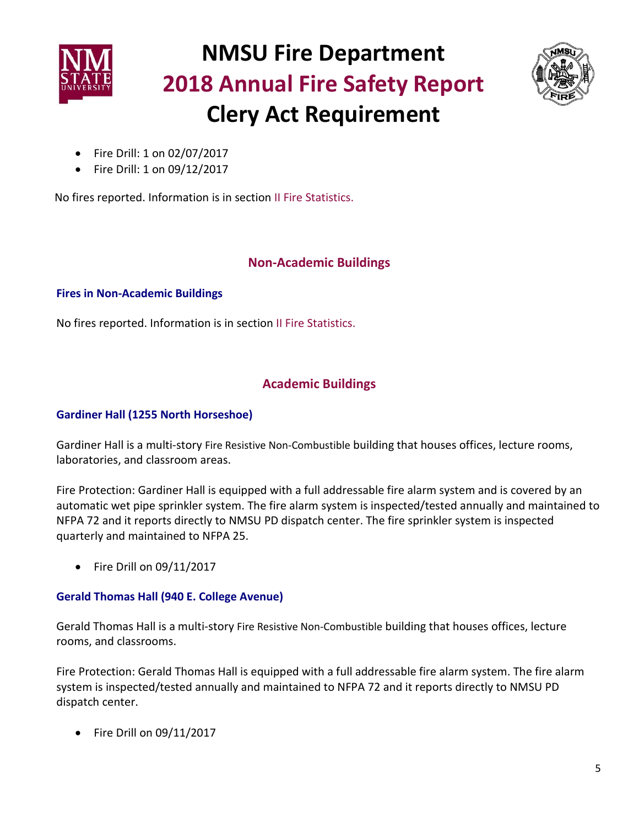



- Fire Drill: 1 on 02/07/2017
- Fire Drill: 1 on 09/12/2017

No fires reported. Information is in section II Fire Statistics.

## **Non-Academic Buildings**

#### **Fires in Non-Academic Buildings**

No fires reported. Information is in section II Fire Statistics.

## **Academic Buildings**

#### **Gardiner Hall (1255 North Horseshoe)**

Gardiner Hall is a multi-story Fire Resistive Non-Combustible building that houses offices, lecture rooms, laboratories, and classroom areas.

Fire Protection: Gardiner Hall is equipped with a full addressable fire alarm system and is covered by an automatic wet pipe sprinkler system. The fire alarm system is inspected/tested annually and maintained to NFPA 72 and it reports directly to NMSU PD dispatch center. The fire sprinkler system is inspected quarterly and maintained to NFPA 25.

• Fire Drill on 09/11/2017

#### **Gerald Thomas Hall (940 E. College Avenue)**

Gerald Thomas Hall is a multi-story Fire Resistive Non-Combustible building that houses offices, lecture rooms, and classrooms.

Fire Protection: Gerald Thomas Hall is equipped with a full addressable fire alarm system. The fire alarm system is inspected/tested annually and maintained to NFPA 72 and it reports directly to NMSU PD dispatch center.

• Fire Drill on 09/11/2017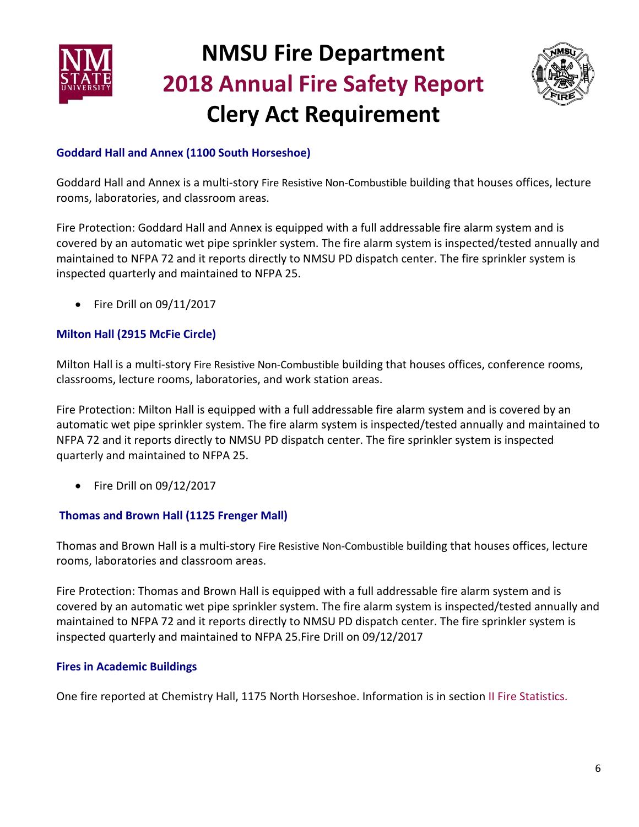



### **Goddard Hall and Annex (1100 South Horseshoe)**

Goddard Hall and Annex is a multi-story Fire Resistive Non-Combustible building that houses offices, lecture rooms, laboratories, and classroom areas.

Fire Protection: Goddard Hall and Annex is equipped with a full addressable fire alarm system and is covered by an automatic wet pipe sprinkler system. The fire alarm system is inspected/tested annually and maintained to NFPA 72 and it reports directly to NMSU PD dispatch center. The fire sprinkler system is inspected quarterly and maintained to NFPA 25.

• Fire Drill on 09/11/2017

## **Milton Hall (2915 McFie Circle)**

Milton Hall is a multi-story Fire Resistive Non-Combustible building that houses offices, conference rooms, classrooms, lecture rooms, laboratories, and work station areas.

Fire Protection: Milton Hall is equipped with a full addressable fire alarm system and is covered by an automatic wet pipe sprinkler system. The fire alarm system is inspected/tested annually and maintained to NFPA 72 and it reports directly to NMSU PD dispatch center. The fire sprinkler system is inspected quarterly and maintained to NFPA 25.

• Fire Drill on 09/12/2017

### **Thomas and Brown Hall (1125 Frenger Mall)**

Thomas and Brown Hall is a multi-story Fire Resistive Non-Combustible building that houses offices, lecture rooms, laboratories and classroom areas.

Fire Protection: Thomas and Brown Hall is equipped with a full addressable fire alarm system and is covered by an automatic wet pipe sprinkler system. The fire alarm system is inspected/tested annually and maintained to NFPA 72 and it reports directly to NMSU PD dispatch center. The fire sprinkler system is inspected quarterly and maintained to NFPA 25.Fire Drill on 09/12/2017

### **Fires in Academic Buildings**

One fire reported at Chemistry Hall, 1175 North Horseshoe. Information is in section II Fire Statistics.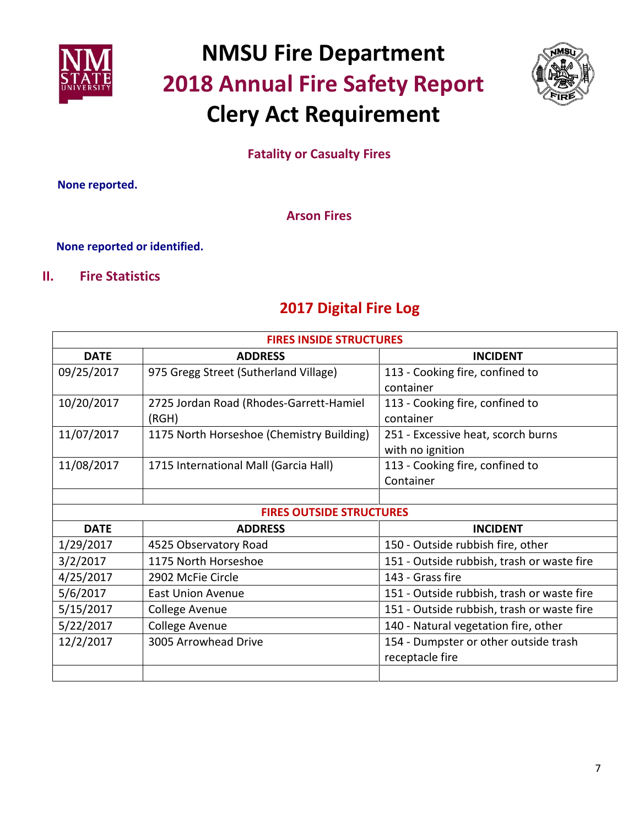



# **Fatality or Casualty Fires**

 **None reported.**

**Arson Fires** 

#### **None reported or identified.**

## **II. Fire Statistics**

# **2017 Digital Fire Log**

| <b>FIRES INSIDE STRUCTURES</b>  |                                           |                                            |
|---------------------------------|-------------------------------------------|--------------------------------------------|
| <b>DATE</b>                     | <b>ADDRESS</b>                            | <b>INCIDENT</b>                            |
| 09/25/2017                      | 975 Gregg Street (Sutherland Village)     | 113 - Cooking fire, confined to            |
|                                 |                                           | container                                  |
| 10/20/2017                      | 2725 Jordan Road (Rhodes-Garrett-Hamiel   | 113 - Cooking fire, confined to            |
|                                 | (RGH)                                     | container                                  |
| 11/07/2017                      | 1175 North Horseshoe (Chemistry Building) | 251 - Excessive heat, scorch burns         |
|                                 |                                           | with no ignition                           |
| 11/08/2017                      | 1715 International Mall (Garcia Hall)     | 113 - Cooking fire, confined to            |
|                                 |                                           | Container                                  |
|                                 |                                           |                                            |
| <b>FIRES OUTSIDE STRUCTURES</b> |                                           |                                            |
| <b>DATE</b>                     | <b>ADDRESS</b>                            | <b>INCIDENT</b>                            |
| 1/29/2017                       | 4525 Observatory Road                     | 150 - Outside rubbish fire, other          |
| 3/2/2017                        | 1175 North Horseshoe                      | 151 - Outside rubbish, trash or waste fire |
| 4/25/2017                       | 2902 McFie Circle                         | 143 - Grass fire                           |
| 5/6/2017                        | <b>East Union Avenue</b>                  | 151 - Outside rubbish, trash or waste fire |
| 5/15/2017                       | <b>College Avenue</b>                     | 151 - Outside rubbish, trash or waste fire |
| 5/22/2017                       | College Avenue                            | 140 - Natural vegetation fire, other       |
| 12/2/2017                       | 3005 Arrowhead Drive                      | 154 - Dumpster or other outside trash      |
|                                 |                                           | receptacle fire                            |
|                                 |                                           |                                            |